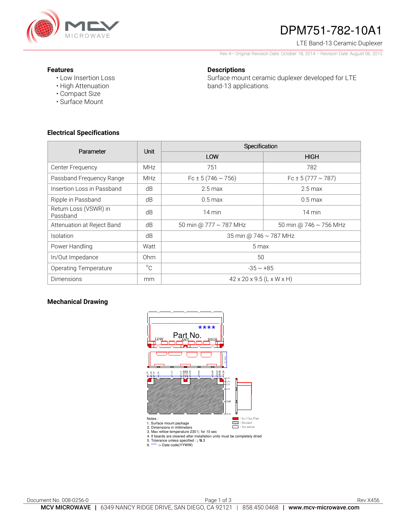

# DPM751-782-10A1

LTE Band-13 Ceramic Duplexer

Rev 4– Original Revision Date: October 18, 2014 – Revision Date: August 06, 2015

#### **Features**

• Low Insertion Loss • High Attenuation

**Descriptions** 

Surface mount ceramic duplexer developed for LTE band-13 applications.

• Compact Size • Surface Mount

### **Electrical Specifications**

| Parameter                         | <b>Unit</b>     | Specification                         |                             |
|-----------------------------------|-----------------|---------------------------------------|-----------------------------|
|                                   |                 | LOW                                   | <b>HIGH</b>                 |
| Center Frequency                  | <b>MHz</b>      | 751                                   | 782                         |
| Passband Frequency Range          | <b>MHz</b>      | $Fc \pm 5(746 \sim 756)$              | Fc $\pm$ 5 (777 $\sim$ 787) |
| Insertion Loss in Passband        | dB              | $2.5 \text{ max}$                     | $2.5 \text{ max}$           |
| Ripple in Passband                | dB              | $0.5$ max                             | $0.5 \text{ max}$           |
| Return Loss (VSWR) in<br>Passband | dB              | 14 min                                | $14 \text{ min}$            |
| Attenuation at Reject Band        | dB              | 50 min @ 777 ~ 787 MHz                | 50 min @ 746 $\sim$ 756 MHz |
| Isolation                         | dB              | 35 min @ 746 ~ 787 MHz                |                             |
| Power Handling                    | Watt            | 5 max                                 |                             |
| In/Out Impedance                  | 0 <sub>hm</sub> | 50                                    |                             |
| <b>Operating Temperature</b>      | $^{\circ}C$     | $-35 \sim +85$                        |                             |
| <b>Dimensions</b>                 | mm              | $42 \times 20 \times 9.5$ (L x W x H) |                             |

### **Mechanical Drawing**

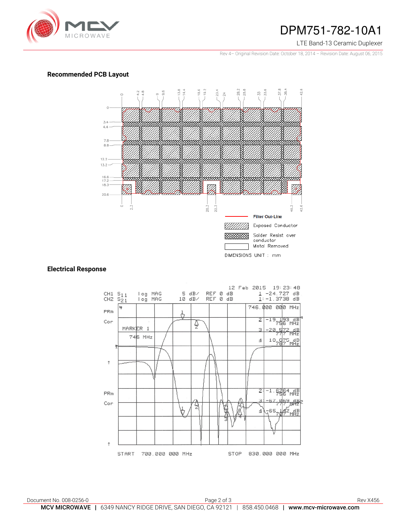

## DPM751-782-10A1

#### LTE Band-13 Ceramic Duplexer

Rev 4– Original Revision Date: October 18, 2014 – Revision Date: August 06, 2015

#### **Recommended PCB Layout**



#### **Electrical Response**